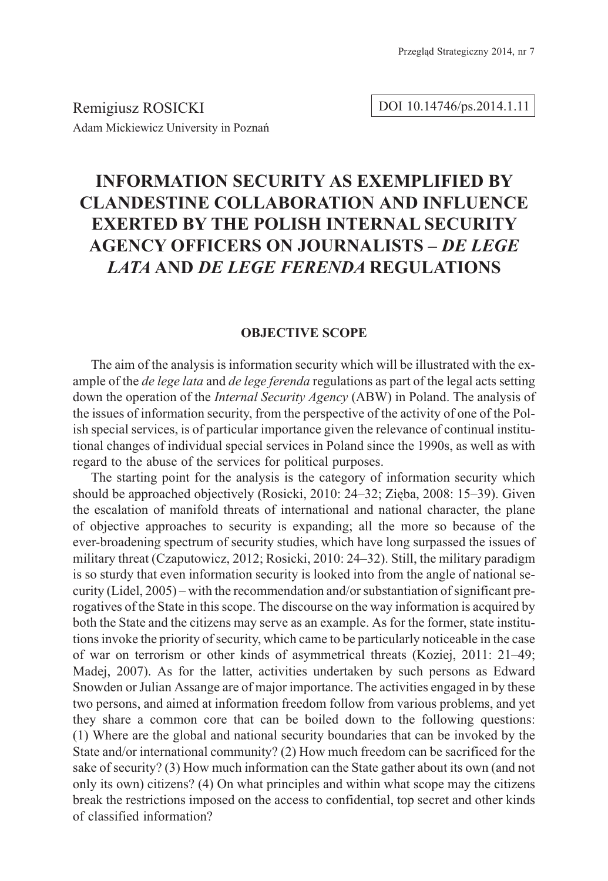Remigiusz ROSICKI Adam Mickiewicz University in Poznañ DOI 10.14746/ps.2014.1.11

# **INFORMATION SECURITY AS EXEMPLIFIED BY CLANDESTINE COLLABORATION AND INFLUENCE EXERTED BY THE POLISH INTERNAL SECURITY AGENCY OFFICERS ON JOURNALISTS –** *DE LEGE LATA* **AND** *DE LEGE FERENDA* **REGULATIONS**

#### **OBJECTIVE SCOPE**

The aim of the analysis is information security which will be illustrated with the example of the *de lege lata* and *de lege ferenda* regulations as part of the legal acts setting down the operation of the *Internal Security Agency* (ABW) in Poland. The analysis of the issues of information security, from the perspective of the activity of one of the Polish special services, is of particular importance given the relevance of continual institutional changes of individual special services in Poland since the 1990s, as well as with regard to the abuse of the services for political purposes.

The starting point for the analysis is the category of information security which should be approached objectively (Rosicki, 2010: 24–32; Ziêba, 2008: 15–39). Given the escalation of manifold threats of international and national character, the plane of objective approaches to security is expanding; all the more so because of the ever-broadening spectrum of security studies, which have long surpassed the issues of military threat (Czaputowicz, 2012; Rosicki, 2010: 24–32). Still, the military paradigm is so sturdy that even information security is looked into from the angle of national security (Lidel, 2005) – with the recommendation and/or substantiation of significant prerogatives of the State in this scope. The discourse on the way information is acquired by both the State and the citizens may serve as an example. As for the former, state institutions invoke the priority of security, which came to be particularly noticeable in the case of war on terrorism or other kinds of asymmetrical threats (Koziej, 2011: 21–49; Madej, 2007). As for the latter, activities undertaken by such persons as Edward Snowden or Julian Assange are of major importance. The activities engaged in by these two persons, and aimed at information freedom follow from various problems, and yet they share a common core that can be boiled down to the following questions: (1) Where are the global and national security boundaries that can be invoked by the State and/or international community? (2) How much freedom can be sacrificed for the sake of security? (3) How much information can the State gather about its own (and not only its own) citizens? (4) On what principles and within what scope may the citizens break the restrictions imposed on the access to confidential, top secret and other kinds of classified information?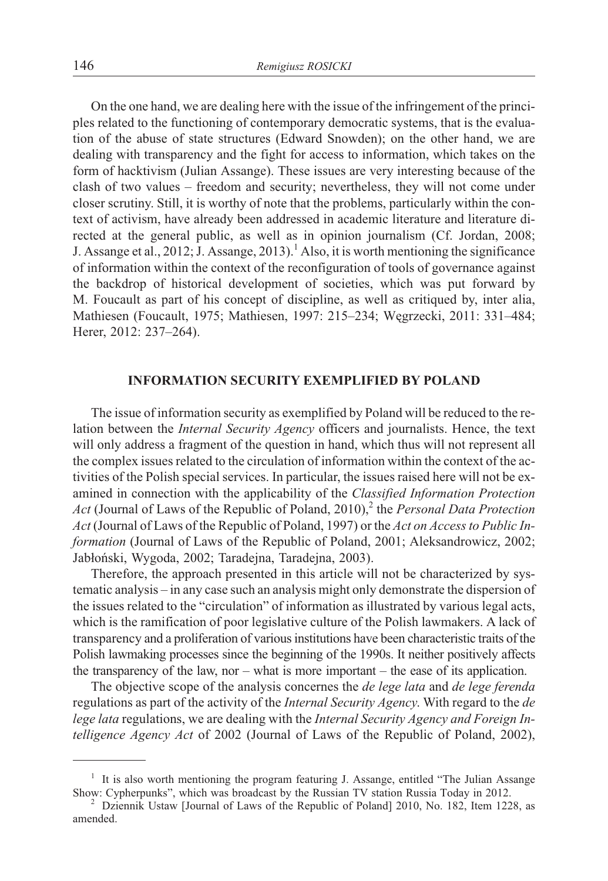On the one hand, we are dealing here with the issue of the infringement of the principles related to the functioning of contemporary democratic systems, that is the evaluation of the abuse of state structures (Edward Snowden); on the other hand, we are dealing with transparency and the fight for access to information, which takes on the form of hacktivism (Julian Assange). These issues are very interesting because of the clash of two values – freedom and security; nevertheless, they will not come under closer scrutiny. Still, it is worthy of note that the problems, particularly within the context of activism, have already been addressed in academic literature and literature directed at the general public, as well as in opinion journalism (Cf. Jordan, 2008; J. Assange et al., 2012; J. Assange, 2013).<sup>1</sup> Also, it is worth mentioning the significance of information within the context of the reconfiguration of tools of governance against the backdrop of historical development of societies, which was put forward by M. Foucault as part of his concept of discipline, as well as critiqued by, inter alia, Mathiesen (Foucault, 1975; Mathiesen, 1997: 215–234; Wêgrzecki, 2011: 331–484; Herer, 2012: 237–264).

#### **INFORMATION SECURITY EXEMPLIFIED BY POLAND**

The issue of information security as exemplified by Poland will be reduced to the relation between the *Internal Security Agency* officers and journalists. Hence, the text will only address a fragment of the question in hand, which thus will not represent all the complex issues related to the circulation of information within the context of the activities of the Polish special services. In particular, the issues raised here will not be examined in connection with the applicability of the *Classified Information Protection Act* (Journal of Laws of the Republic of Poland, 2010),<sup>2</sup> the *Personal Data Protection Act* (Journal of Laws of the Republic of Poland, 1997) or the *Act on Access to Public Information* (Journal of Laws of the Republic of Poland, 2001; Aleksandrowicz, 2002; Jabłoński, Wygoda, 2002; Taradejna, Taradejna, 2003).

Therefore, the approach presented in this article will not be characterized by systematic analysis – in any case such an analysis might only demonstrate the dispersion of the issues related to the "circulation" of information as illustrated by various legal acts, which is the ramification of poor legislative culture of the Polish lawmakers. A lack of transparency and a proliferation of various institutions have been characteristic traits of the Polish lawmaking processes since the beginning of the 1990s. It neither positively affects the transparency of the law, nor – what is more important – the ease of its application.

The objective scope of the analysis concernes the *de lege lata* and *de lege ferenda* regulations as part of the activity of the *Internal Security Agency*. With regard to the *de lege lata* regulations, we are dealing with the *Internal Security Agency and Foreign Intelligence Agency Act* of 2002 (Journal of Laws of the Republic of Poland, 2002),

<sup>&</sup>lt;sup>1</sup> It is also worth mentioning the program featuring J. Assange, entitled "The Julian Assange Show: Cypherpunks", which was broadcast by the Russian TV station Russia Today in 2012.

 $\frac{3}{2}$  Dziennik Ustaw [Journal of Laws of the Republic of Poland] 2010, No. 182, Item 1228, as amended.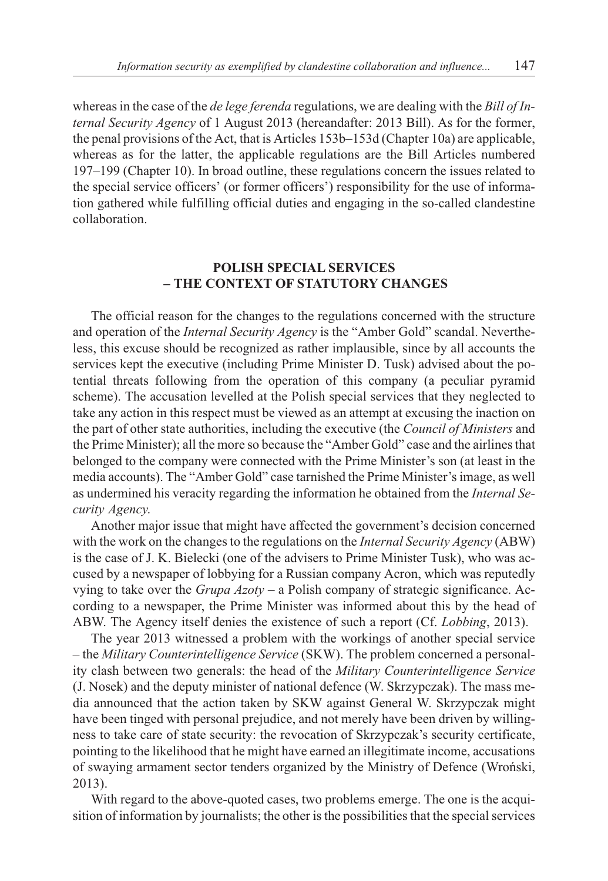whereas in the case of the *de lege ferenda* regulations, we are dealing with the *Bill of Internal Security Agency* of 1 August 2013 (hereandafter: 2013 Bill). As for the former, the penal provisions of the Act, that is Articles 153b–153d (Chapter 10a) are applicable, whereas as for the latter, the applicable regulations are the Bill Articles numbered 197–199 (Chapter 10). In broad outline, these regulations concern the issues related to the special service officers' (or former officers') responsibility for the use of information gathered while fulfilling official duties and engaging in the so-called clandestine collaboration.

## **POLISH SPECIAL SERVICES – THE CONTEXT OF STATUTORY CHANGES**

The official reason for the changes to the regulations concerned with the structure and operation of the *Internal Security Agency* is the "Amber Gold" scandal. Nevertheless, this excuse should be recognized as rather implausible, since by all accounts the services kept the executive (including Prime Minister D. Tusk) advised about the potential threats following from the operation of this company (a peculiar pyramid scheme). The accusation levelled at the Polish special services that they neglected to take any action in this respect must be viewed as an attempt at excusing the inaction on the part of other state authorities, including the executive (the *Council of Ministers* and the Prime Minister); all the more so because the "Amber Gold" case and the airlines that belonged to the company were connected with the Prime Minister's son (at least in the media accounts). The "Amber Gold" case tarnished the Prime Minister's image, as well as undermined his veracity regarding the information he obtained from the *Internal Security Agency*.

Another major issue that might have affected the government's decision concerned with the work on the changes to the regulations on the *Internal Security Agency* (ABW) is the case of J. K. Bielecki (one of the advisers to Prime Minister Tusk), who was accused by a newspaper of lobbying for a Russian company Acron, which was reputedly vying to take over the *Grupa Azoty* – a Polish company of strategic significance. According to a newspaper, the Prime Minister was informed about this by the head of ABW. The Agency itself denies the existence of such a report (Cf. *Lobbing*, 2013).

The year 2013 witnessed a problem with the workings of another special service – the *Military Counterintelligence Service* (SKW). The problem concerned a personality clash between two generals: the head of the *Military Counterintelligence Service* (J. Nosek) and the deputy minister of national defence (W. Skrzypczak). The mass media announced that the action taken by SKW against General W. Skrzypczak might have been tinged with personal prejudice, and not merely have been driven by willingness to take care of state security: the revocation of Skrzypczak's security certificate, pointing to the likelihood that he might have earned an illegitimate income, accusations of swaying armament sector tenders organized by the Ministry of Defence (Wroñski, 2013).

With regard to the above-quoted cases, two problems emerge. The one is the acquisition of information by journalists; the other is the possibilities that the special services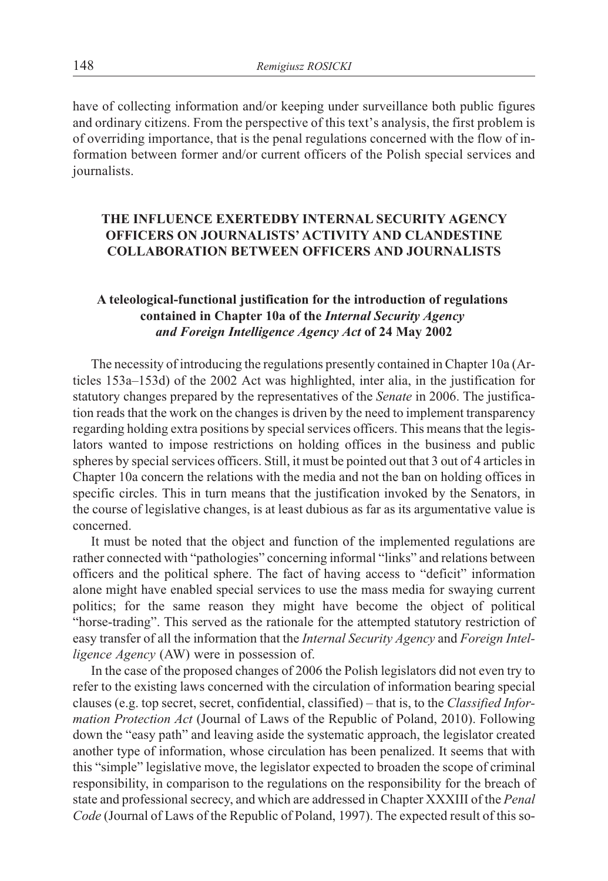have of collecting information and/or keeping under surveillance both public figures and ordinary citizens. From the perspective of this text's analysis, the first problem is of overriding importance, that is the penal regulations concerned with the flow of information between former and/or current officers of the Polish special services and journalists.

# **THE INFLUENCE EXERTEDBY INTERNAL SECURITY AGENCY OFFICERS ON JOURNALISTS' ACTIVITY AND CLANDESTINE COLLABORATION BETWEEN OFFICERS AND JOURNALISTS**

## **A teleological-functional justification for the introduction of regulations contained in Chapter 10a of the** *Internal Security Agency and Foreign Intelligence Agency Act* **of 24 May 2002**

The necessity of introducing the regulations presently contained in Chapter 10a (Articles 153a–153d) of the 2002 Act was highlighted, inter alia, in the justification for statutory changes prepared by the representatives of the *Senate* in 2006. The justification reads that the work on the changes is driven by the need to implement transparency regarding holding extra positions by special services officers. This means that the legislators wanted to impose restrictions on holding offices in the business and public spheres by special services officers. Still, it must be pointed out that 3 out of 4 articles in Chapter 10a concern the relations with the media and not the ban on holding offices in specific circles. This in turn means that the justification invoked by the Senators, in the course of legislative changes, is at least dubious as far as its argumentative value is concerned.

It must be noted that the object and function of the implemented regulations are rather connected with "pathologies" concerning informal "links" and relations between officers and the political sphere. The fact of having access to "deficit" information alone might have enabled special services to use the mass media for swaying current politics; for the same reason they might have become the object of political "horse-trading". This served as the rationale for the attempted statutory restriction of easy transfer of all the information that the *Internal Security Agency* and *Foreign Intelligence Agency* (AW) were in possession of.

In the case of the proposed changes of 2006 the Polish legislators did not even try to refer to the existing laws concerned with the circulation of information bearing special clauses (e.g. top secret, secret, confidential, classified) – that is, to the *Classified Information Protection Act* (Journal of Laws of the Republic of Poland, 2010). Following down the "easy path" and leaving aside the systematic approach, the legislator created another type of information, whose circulation has been penalized. It seems that with this "simple" legislative move, the legislator expected to broaden the scope of criminal responsibility, in comparison to the regulations on the responsibility for the breach of state and professional secrecy, and which are addressed in Chapter XXXIII of the *Penal Code* (Journal of Laws of the Republic of Poland, 1997). The expected result of this so-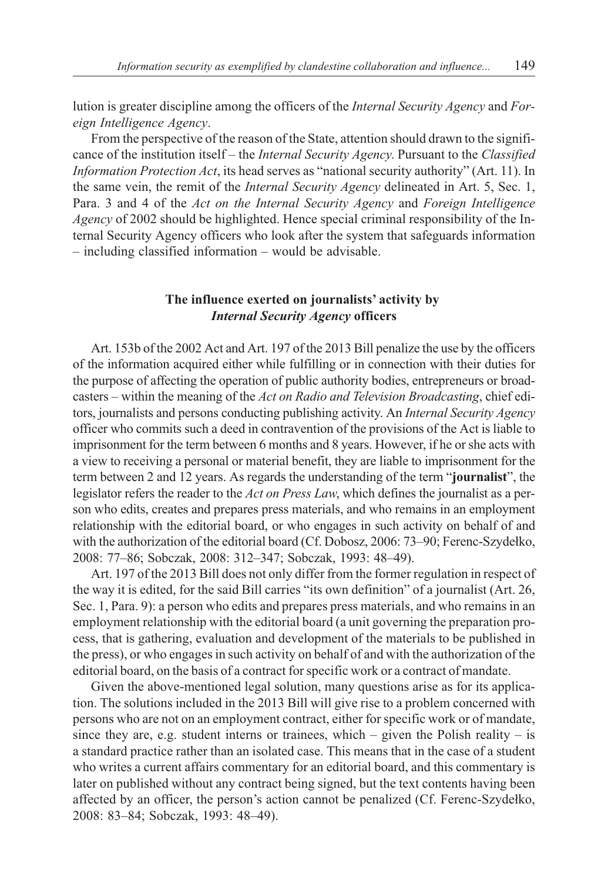lution is greater discipline among the officers of the *Internal Security Agency* and *Foreign Intelligence Agency*.

From the perspective of the reason of the State, attention should drawn to the significance of the institution itself – the *Internal Security Agency*. Pursuant to the *Classified Information Protection Act*, its head serves as "national security authority" (Art. 11). In the same vein, the remit of the *Internal Security Agency* delineated in Art. 5, Sec. 1, Para. 3 and 4 of the *Act on the Internal Security Agency* and *Foreign Intelligence Agency* of 2002 should be highlighted. Hence special criminal responsibility of the Internal Security Agency officers who look after the system that safeguards information – including classified information – would be advisable.

## **The influence exerted on journalists' activity by** *Internal Security Agency* **officers**

Art. 153b of the 2002 Act and Art. 197 of the 2013 Bill penalize the use by the officers of the information acquired either while fulfilling or in connection with their duties for the purpose of affecting the operation of public authority bodies, entrepreneurs or broadcasters – within the meaning of the *Act on Radio and Television Broadcasting*, chief editors, journalists and persons conducting publishing activity. An *Internal Security Agency* officer who commits such a deed in contravention of the provisions of the Act is liable to imprisonment for the term between 6 months and 8 years. However, if he or she acts with a view to receiving a personal or material benefit, they are liable to imprisonment for the term between 2 and 12 years. As regards the understanding of the term "**journalist**", the legislator refers the reader to the *Act on Press Law*, which defines the journalist as a person who edits, creates and prepares press materials, and who remains in an employment relationship with the editorial board, or who engages in such activity on behalf of and with the authorization of the editorial board (Cf. Dobosz, 2006: 73–90; Ferenc-Szydełko, 2008: 77–86; Sobczak, 2008: 312–347; Sobczak, 1993: 48–49).

Art. 197 of the 2013 Bill does not only differ from the former regulation in respect of the way it is edited, for the said Bill carries "its own definition" of a journalist (Art. 26, Sec. 1, Para. 9): a person who edits and prepares press materials, and who remains in an employment relationship with the editorial board (a unit governing the preparation process, that is gathering, evaluation and development of the materials to be published in the press), or who engages in such activity on behalf of and with the authorization of the editorial board, on the basis of a contract for specific work or a contract of mandate.

Given the above-mentioned legal solution, many questions arise as for its application. The solutions included in the 2013 Bill will give rise to a problem concerned with persons who are not on an employment contract, either for specific work or of mandate, since they are, e.g. student interns or trainees, which – given the Polish reality – is a standard practice rather than an isolated case. This means that in the case of a student who writes a current affairs commentary for an editorial board, and this commentary is later on published without any contract being signed, but the text contents having been affected by an officer, the person's action cannot be penalized (Cf. Ferenc-Szydełko, 2008: 83–84; Sobczak, 1993: 48–49).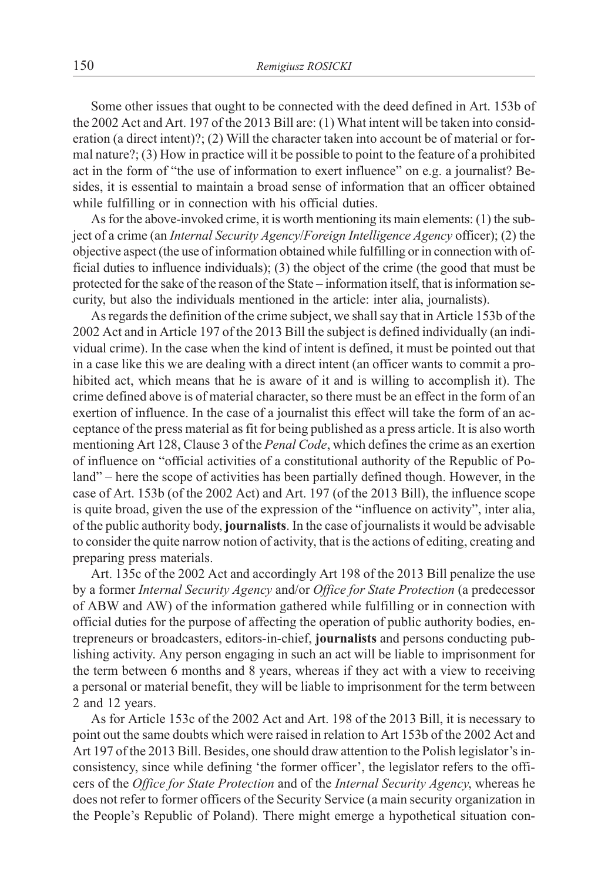Some other issues that ought to be connected with the deed defined in Art. 153b of the 2002 Act and Art. 197 of the 2013 Bill are: (1) What intent will be taken into consideration (a direct intent)?; (2) Will the character taken into account be of material or formal nature?; (3) How in practice will it be possible to point to the feature of a prohibited act in the form of "the use of information to exert influence" on e.g. a journalist? Besides, it is essential to maintain a broad sense of information that an officer obtained while fulfilling or in connection with his official duties.

As for the above-invoked crime, it is worth mentioning its main elements: (1) the subject of a crime (an *Internal Security Agency*/*Foreign Intelligence Agency* officer); (2) the objective aspect (the use of information obtained while fulfilling or in connection with official duties to influence individuals); (3) the object of the crime (the good that must be protected for the sake of the reason of the State – information itself, that is information security, but also the individuals mentioned in the article: inter alia, journalists).

As regards the definition of the crime subject, we shall say that in Article 153b of the 2002 Act and in Article 197 of the 2013 Bill the subject is defined individually (an individual crime). In the case when the kind of intent is defined, it must be pointed out that in a case like this we are dealing with a direct intent (an officer wants to commit a prohibited act, which means that he is aware of it and is willing to accomplish it). The crime defined above is of material character, so there must be an effect in the form of an exertion of influence. In the case of a journalist this effect will take the form of an acceptance of the press material as fit for being published as a press article. It is also worth mentioning Art 128, Clause 3 of the *Penal Code*, which defines the crime as an exertion of influence on "official activities of a constitutional authority of the Republic of Poland" – here the scope of activities has been partially defined though. However, in the case of Art. 153b (of the 2002 Act) and Art. 197 (of the 2013 Bill), the influence scope is quite broad, given the use of the expression of the "influence on activity", inter alia, of the public authority body, **journalists**. In the case of journalists it would be advisable to consider the quite narrow notion of activity, that is the actions of editing, creating and preparing press materials.

Art. 135c of the 2002 Act and accordingly Art 198 of the 2013 Bill penalize the use by a former *Internal Security Agency* and/or *Office for State Protection* (a predecessor of ABW and AW) of the information gathered while fulfilling or in connection with official duties for the purpose of affecting the operation of public authority bodies, entrepreneurs or broadcasters, editors-in-chief, **journalists** and persons conducting publishing activity. Any person engaging in such an act will be liable to imprisonment for the term between 6 months and 8 years, whereas if they act with a view to receiving a personal or material benefit, they will be liable to imprisonment for the term between 2 and 12 years.

As for Article 153c of the 2002 Act and Art. 198 of the 2013 Bill, it is necessary to point out the same doubts which were raised in relation to Art 153b of the 2002 Act and Art 197 of the 2013 Bill. Besides, one should draw attention to the Polish legislator's inconsistency, since while defining 'the former officer', the legislator refers to the officers of the *Office for State Protection* and of the *Internal Security Agency*, whereas he does not refer to former officers of the Security Service (a main security organization in the People's Republic of Poland). There might emerge a hypothetical situation con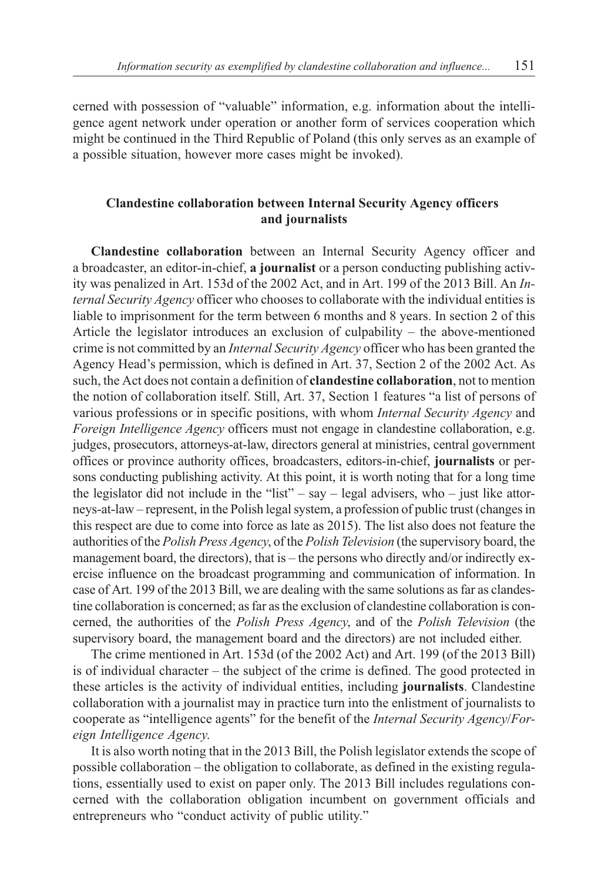cerned with possession of "valuable" information, e.g. information about the intelligence agent network under operation or another form of services cooperation which might be continued in the Third Republic of Poland (this only serves as an example of a possible situation, however more cases might be invoked).

## **Clandestine collaboration between Internal Security Agency officers and journalists**

**Clandestine collaboration** between an Internal Security Agency officer and a broadcaster, an editor-in-chief, **a journalist** or a person conducting publishing activity was penalized in Art. 153d of the 2002 Act, and in Art. 199 of the 2013 Bill. An *Internal Security Agency* officer who chooses to collaborate with the individual entities is liable to imprisonment for the term between 6 months and 8 years. In section 2 of this Article the legislator introduces an exclusion of culpability – the above-mentioned crime is not committed by an *Internal Security Agency* officer who has been granted the Agency Head's permission, which is defined in Art. 37, Section 2 of the 2002 Act. As such, the Act does not contain a definition of **clandestine collaboration**, not to mention the notion of collaboration itself. Still, Art. 37, Section 1 features "a list of persons of various professions or in specific positions, with whom *Internal Security Agency* and *Foreign Intelligence Agency* officers must not engage in clandestine collaboration, e.g. judges, prosecutors, attorneys-at-law, directors general at ministries, central government offices or province authority offices, broadcasters, editors-in-chief, **journalists** or persons conducting publishing activity. At this point, it is worth noting that for a long time the legislator did not include in the "list" – say – legal advisers, who – just like attorneys-at-law – represent, in the Polish legal system, a profession of public trust (changes in this respect are due to come into force as late as 2015). The list also does not feature the authorities of the *Polish Press Agency*, of the *Polish Television* (the supervisory board, the management board, the directors), that is – the persons who directly and/or indirectly exercise influence on the broadcast programming and communication of information. In case of Art. 199 of the 2013 Bill, we are dealing with the same solutions as far as clandestine collaboration is concerned; as far as the exclusion of clandestine collaboration is concerned, the authorities of the *Polish Press Agency*, and of the *Polish Television* (the supervisory board, the management board and the directors) are not included either.

The crime mentioned in Art. 153d (of the 2002 Act) and Art. 199 (of the 2013 Bill) is of individual character – the subject of the crime is defined. The good protected in these articles is the activity of individual entities, including **journalists**. Clandestine collaboration with a journalist may in practice turn into the enlistment of journalists to cooperate as "intelligence agents" for the benefit of the *Internal Security Agency*/*Foreign Intelligence Agency*.

It is also worth noting that in the 2013 Bill, the Polish legislator extends the scope of possible collaboration – the obligation to collaborate, as defined in the existing regulations, essentially used to exist on paper only. The 2013 Bill includes regulations concerned with the collaboration obligation incumbent on government officials and entrepreneurs who "conduct activity of public utility."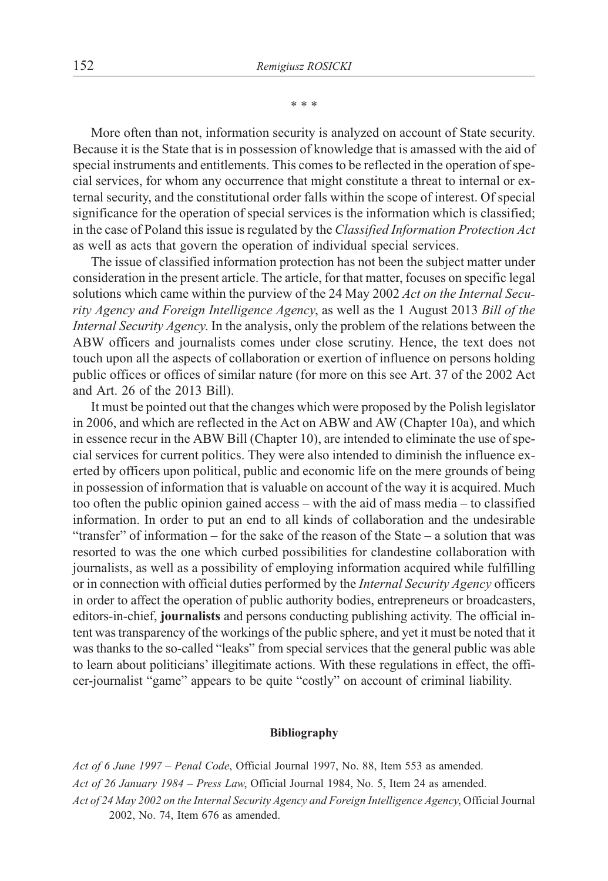\*\*\*

More often than not, information security is analyzed on account of State security. Because it is the State that is in possession of knowledge that is amassed with the aid of special instruments and entitlements. This comes to be reflected in the operation of special services, for whom any occurrence that might constitute a threat to internal or external security, and the constitutional order falls within the scope of interest. Of special significance for the operation of special services is the information which is classified; in the case of Poland this issue is regulated by the *Classified Information Protection Act* as well as acts that govern the operation of individual special services.

The issue of classified information protection has not been the subject matter under consideration in the present article. The article, for that matter, focuses on specific legal solutions which came within the purview of the 24 May 2002 *Act on the Internal Security Agency and Foreign Intelligence Agency*, as well as the 1 August 2013 *Bill of the Internal Security Agency*. In the analysis, only the problem of the relations between the ABW officers and journalists comes under close scrutiny. Hence, the text does not touch upon all the aspects of collaboration or exertion of influence on persons holding public offices or offices of similar nature (for more on this see Art. 37 of the 2002 Act and Art. 26 of the 2013 Bill).

It must be pointed out that the changes which were proposed by the Polish legislator in 2006, and which are reflected in the Act on ABW and AW (Chapter 10a), and which in essence recur in the ABW Bill (Chapter 10), are intended to eliminate the use of special services for current politics. They were also intended to diminish the influence exerted by officers upon political, public and economic life on the mere grounds of being in possession of information that is valuable on account of the way it is acquired. Much too often the public opinion gained access – with the aid of mass media – to classified information. In order to put an end to all kinds of collaboration and the undesirable "transfer" of information – for the sake of the reason of the State – a solution that was resorted to was the one which curbed possibilities for clandestine collaboration with journalists, as well as a possibility of employing information acquired while fulfilling or in connection with official duties performed by the *Internal Security Agency* officers in order to affect the operation of public authority bodies, entrepreneurs or broadcasters, editors-in-chief, **journalists** and persons conducting publishing activity. The official intent was transparency of the workings of the public sphere, and yet it must be noted that it was thanks to the so-called "leaks" from special services that the general public was able to learn about politicians' illegitimate actions. With these regulations in effect, the officer-journalist "game" appears to be quite "costly" on account of criminal liability.

#### **Bibliography**

*Act of 6 June 1997 – Penal Code*, Official Journal 1997, No. 88, Item 553 as amended. *Act of 26 January 1984 – Press Law*, Official Journal 1984, No. 5, Item 24 as amended. *Act of 24 May 2002 on the Internal Security Agency and Foreign Intelligence Agency*, Official Journal 2002, No. 74, Item 676 as amended.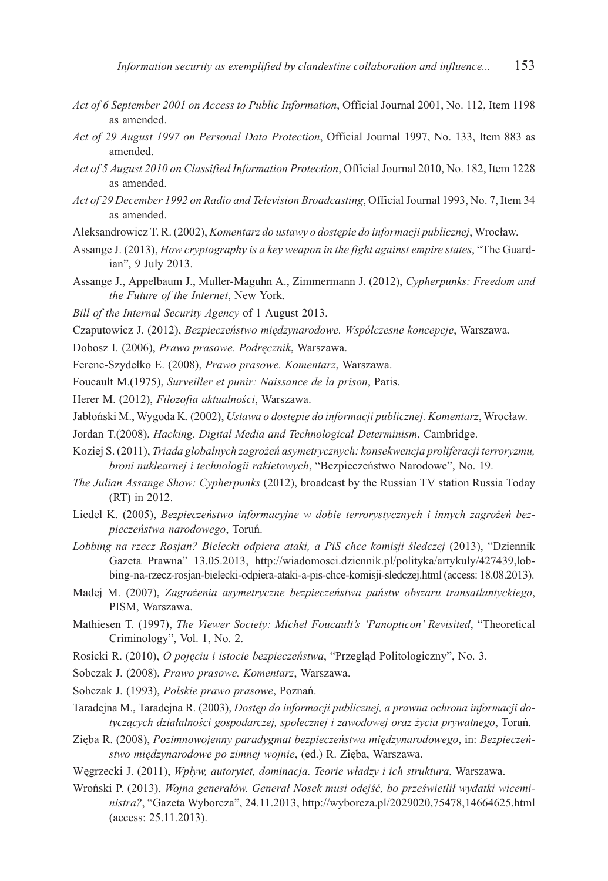- *Act of 6 September 2001 on Access to Public Information*, Official Journal 2001, No. 112, Item 1198 as amended.
- *Act of 29 August 1997 on Personal Data Protection*, Official Journal 1997, No. 133, Item 883 as amended.
- *Act of 5 August 2010 on Classified Information Protection*, Official Journal 2010, No. 182, Item 1228 as amended.
- *Act of 29 December 1992 on Radio and Television Broadcasting*, Official Journal 1993, No. 7, Item 34 as amended.
- Aleksandrowicz T. R. (2002), *Komentarz do ustawy o dostępie do informacji publicznej*, Wrocław.
- Assange J. (2013), *How cryptography is a key weapon in the fight against empire states*, "The Guardian", 9 July 2013.
- Assange J., Appelbaum J., Muller-Maguhn A., Zimmermann J. (2012), *Cypherpunks: Freedom and the Future of the Internet*, New York.
- *Bill of the Internal Security Agency* of 1 August 2013.
- Czaputowicz J. (2012), *Bezpieczeñstwo miêdzynarodowe. Wspó³czesne koncepcje*, Warszawa.
- Dobosz I. (2006), *Prawo prasowe. Podrecznik*, Warszawa.
- Ferenc-Szydełko E. (2008), Prawo prasowe. Komentarz, Warszawa.
- Foucault M.(1975), *Surveiller et punir: Naissance de la prison*, Paris.
- Herer M. (2012), *Filozofia aktualności*, Warszawa.
- Jabłoński M., Wygoda K. (2002), *Ustawa o dostępie do informacji publicznej. Komentarz*, Wrocław.
- Jordan T.(2008), *Hacking. Digital Media and Technological Determinism*, Cambridge.
- Koziej S. (2011), *Triada globalnych zagro¿eñ asymetrycznych: konsekwencja proliferacji terroryzmu, broni nuklearnej i technologii rakietowych*, "Bezpieczeñstwo Narodowe", No. 19.
- *The Julian Assange Show: Cypherpunks* (2012), broadcast by the Russian TV station Russia Today (RT) in 2012.
- Liedel K. (2005), *Bezpieczeństwo informacyjne w dobie terrorystycznych i innych zagrożeń bezpieczeñstwa narodowego*, Toruñ.
- *Lobbing na rzecz Rosjan? Bielecki odpiera ataki, a PiS chce komisji œledczej* (2013), "Dziennik Gazeta Prawna" 13.05.2013, http://wiadomosci.dziennik.pl/polityka/artykuly/427439,lobbing-na-rzecz-rosjan-bielecki-odpiera-ataki-a-pis-chce-komisji-sledczej.html (access: 18.08.2013).
- Madej M. (2007), *Zagro¿enia asymetryczne bezpieczeñstwa pañstw obszaru transatlantyckiego*, PISM, Warszawa.
- Mathiesen T. (1997), *The Viewer Society: Michel Foucault's 'Panopticon' Revisited*, "Theoretical Criminology", Vol. 1, No. 2.
- Rosicki R. (2010), *O pojęciu i istocie bezpieczeństwa*, "Przegląd Politologiczny", No. 3.
- Sobczak J. (2008), *Prawo prasowe. Komentarz*, Warszawa.
- Sobczak J. (1993), *Polskie prawo prasowe*, Poznañ.
- Taradejna M., Taradejna R. (2003), *Dostêp do informacji publicznej, a prawna ochrona informacji dotycz¹cych dzia³alnoœci gospodarczej, spo³ecznej i zawodowej oraz ¿ycia prywatnego*, Toruñ.
- Ziêba R. (2008), *Pozimnowojenny paradygmat bezpieczeñstwa miêdzynarodowego*, in: *Bezpieczeñstwo miêdzynarodowe po zimnej wojnie*, (ed.) R. Ziêba, Warszawa.
- Wegrzecki J. (2011), *Wpływ, autorytet, dominacja. Teorie władzy i ich struktura*, Warszawa.
- Wroński P. (2013), Wojna generałów. Generał Nosek musi odejść, bo prześwietlił wydatki wicemi*nistra?*, "Gazeta Wyborcza", 24.11.2013, http://wyborcza.pl/2029020,75478,14664625.html (access: 25.11.2013).